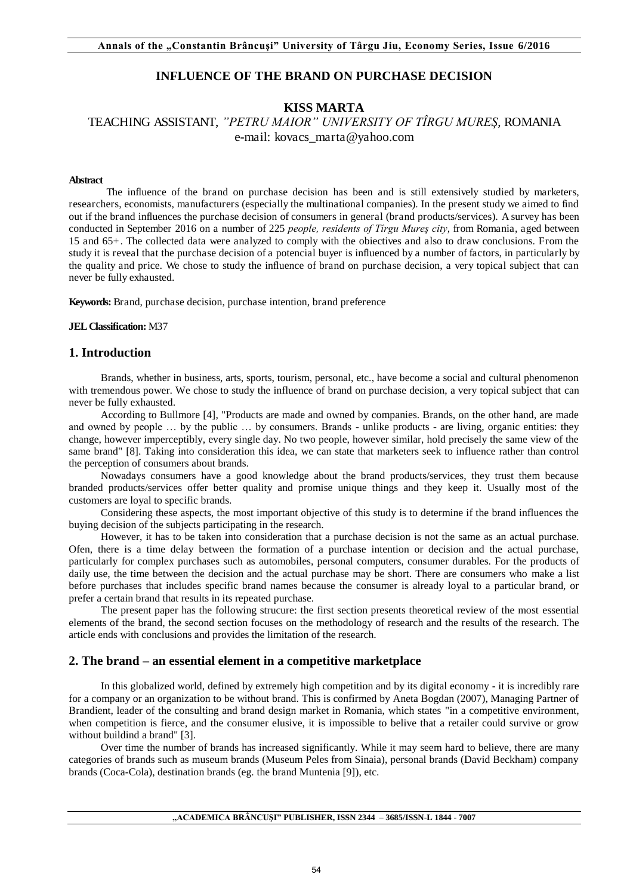# **INFLUENCE OF THE BRAND ON PURCHASE DECISION**

# **KISS MARTA**

# TEACHING ASSISTANT, *"PETRU MAIOR" UNIVERSITY OF TÎRGU MUREŞ*, ROMANIA e-mail: kovacs\_marta@yahoo.com

#### **Abstract**

The influence of the brand on purchase decision has been and is still extensively studied by marketers, researchers, economists, manufacturers (especially the multinational companies). In the present study we aimed to find out if the brand influences the purchase decision of consumers in general (brand products/services). A survey has been conducted in September 2016 on a number of 225 *people, residents of Tîrgu Mureş city*, from Romania, aged between 15 and 65+. The collected data were analyzed to comply with the obiectives and also to draw conclusions. From the study it is reveal that the purchase decision of a potencial buyer is influenced by a number of factors, in particularly by the quality and price. We chose to study the influence of brand on purchase decision, a very topical subject that can never be fully exhausted.

**Keywords:** Brand, purchase decision, purchase intention, brand preference

**JEL Classification:** M37

### **1. Introduction**

Brands, whether in business, arts, sports, tourism, personal, etc., have become a social and cultural phenomenon with tremendous power. We chose to study the influence of brand on purchase decision, a very topical subject that can never be fully exhausted.

According to Bullmore [4], "Products are made and owned by companies. Brands, on the other hand, are made and owned by people … by the public … by consumers. Brands - unlike products - are living, organic entities: they change, however imperceptibly, every single day. No two people, however similar, hold precisely the same view of the same brand" [8]. Taking into consideration this idea, we can state that marketers seek to influence rather than control the perception of consumers about brands.

Nowadays consumers have a good knowledge about the brand products/services, they trust them because branded products/services offer better quality and promise unique things and they keep it. Usually most of the customers are loyal to specific brands.

Considering these aspects, the most important objective of this study is to determine if the brand influences the buying decision of the subjects participating in the research.

However, it has to be taken into consideration that a purchase decision is not the same as an actual purchase. Ofen, there is a time delay between the formation of a purchase intention or decision and the actual purchase, particularly for complex purchases such as automobiles, personal computers, consumer durables. For the products of daily use, the time between the decision and the actual purchase may be short. There are consumers who make a list before purchases that includes specific brand names because the consumer is already loyal to a particular brand, or prefer a certain brand that results in its repeated purchase.

The present paper has the following strucure: the first section presents theoretical review of the most essential elements of the brand, the second section focuses on the methodology of research and the results of the research. The article ends with conclusions and provides the limitation of the research.

### **2. The brand – an essential element in a competitive marketplace**

In this globalized world, defined by extremely high competition and by its digital economy - it is incredibly rare for a company or an organization to be without brand. This is confirmed by Aneta Bogdan (2007), Managing Partner of Brandient, leader of the consulting and brand design market in Romania, which states "in a competitive environment, when competition is fierce, and the consumer elusive, it is impossible to belive that a retailer could survive or grow without buildind a brand" [3].

Over time the number of brands has increased significantly. While it may seem hard to believe, there are many categories of brands such as museum brands (Museum Peles from Sinaia), personal brands (David Beckham) company brands (Coca-Cola), destination brands (eg. the brand Muntenia [9]), etc.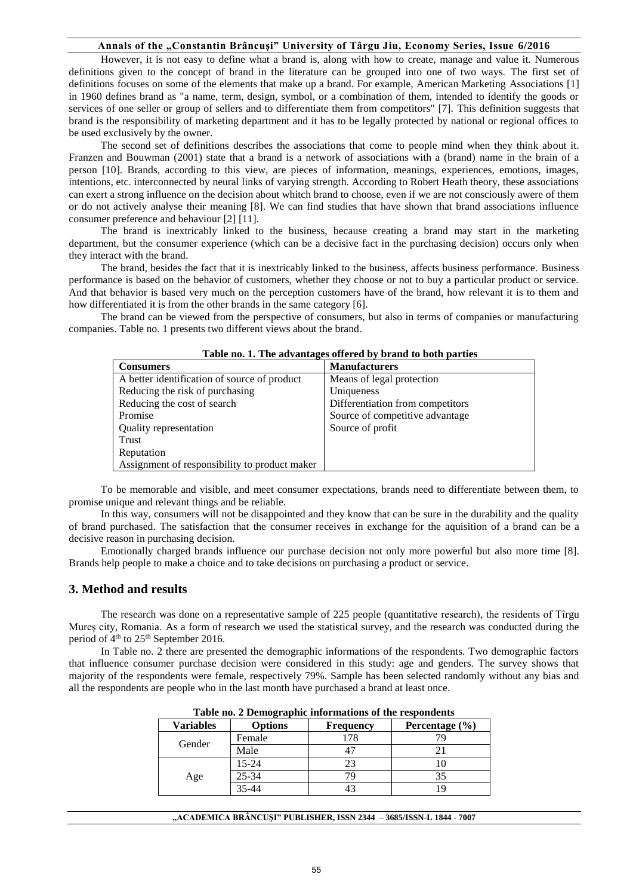### **Annals of the "Constantin Brâncuşi" University of Târgu Jiu, Economy Series, Issue 6/2016**

However, it is not easy to define what a brand is, along with how to create, manage and value it. Numerous definitions given to the concept of brand in the literature can be grouped into one of two ways. The first set of definitions focuses on some of the elements that make up a brand. For example, American Marketing Associations [1] in 1960 defines brand as "a name, term, design, symbol, or a combination of them, intended to identify the goods or services of one seller or group of sellers and to differentiate them from competitors" [7]. This definition suggests that brand is the responsibility of marketing department and it has to be legally protected by national or regional offices to be used exclusively by the owner.

The second set of definitions describes the associations that come to people mind when they think about it. Franzen and Bouwman (2001) state that a brand is a network of associations with a (brand) name in the brain of a person [10]. Brands, according to this view, are pieces of information, meanings, experiences, emotions, images, intentions, etc. interconnected by neural links of varying strength. According to Robert Heath theory, these associations can exert a strong influence on the decision about whitch brand to choose, even if we are not consciously awere of them or do not actively analyse their meaning [8]. We can find studies that have shown that brand associations influence consumer preference and behaviour [2] [11].

The brand is inextricably linked to the business, because creating a brand may start in the marketing department, but the consumer experience (which can be a decisive fact in the purchasing decision) occurs only when they interact with the brand.

The brand, besides the fact that it is inextricably linked to the business, affects business performance. Business performance is based on the behavior of customers, whether they choose or not to buy a particular product or service. And that behavior is based very much on the perception customers have of the brand, how relevant it is to them and how differentiated it is from the other brands in the same category [6].

The brand can be viewed from the perspective of consumers, but also in terms of companies or manufacturing companies. Table no. 1 presents two different views about the brand.

| Table no. 1. The auvantages offered by brain to both parties |                                  |  |
|--------------------------------------------------------------|----------------------------------|--|
| <b>Consumers</b>                                             | <b>Manufacturers</b>             |  |
| A better identification of source of product                 | Means of legal protection        |  |
| Reducing the risk of purchasing                              | Uniqueness                       |  |
| Reducing the cost of search                                  | Differentiation from competitors |  |
| Promise                                                      | Source of competitive advantage  |  |
| Quality representation                                       | Source of profit                 |  |
| Trust                                                        |                                  |  |
| Reputation                                                   |                                  |  |
| Assignment of responsibility to product maker                |                                  |  |

#### **Table no. 1. The advantages offered by brand to both parties**

To be memorable and visible, and meet consumer expectations, brands need to differentiate between them, to promise unique and relevant things and be reliable.

In this way, consumers will not be disappointed and they know that can be sure in the durability and the quality of brand purchased. The satisfaction that the consumer receives in exchange for the aquisition of a brand can be a decisive reason in purchasing decision.

Emotionally charged brands influence our purchase decision not only more powerful but also more time [8]. Brands help people to make a choice and to take decisions on purchasing a product or service.

### **3. Method and results**

The research was done on a representative sample of 225 people (quantitative research), the residents of Tîrgu Mureş city, Romania. As a form of research we used the statistical survey, and the research was conducted during the period of  $4<sup>th</sup>$  to  $25<sup>th</sup>$  September 2016.

In Table no. 2 there are presented the demographic informations of the respondents. Two demographic factors that influence consumer purchase decision were considered in this study: age and genders. The survey shows that majority of the respondents were female, respectively 79%. Sample has been selected randomly without any bias and all the respondents are people who in the last month have purchased a brand at least once.

| Table no. 2 Demographic miormanous or the respondents |         |                  |                    |
|-------------------------------------------------------|---------|------------------|--------------------|
| <b>Variables</b>                                      | Options | <b>Frequency</b> | Percentage $(\% )$ |
|                                                       | Female  |                  |                    |
| Gender                                                | Male    |                  |                    |
|                                                       | 15-24   |                  |                    |
| Age                                                   | 25-34   |                  |                    |
|                                                       | 35-44   |                  |                    |

**Table no. 2 Demographic informations of the respondents**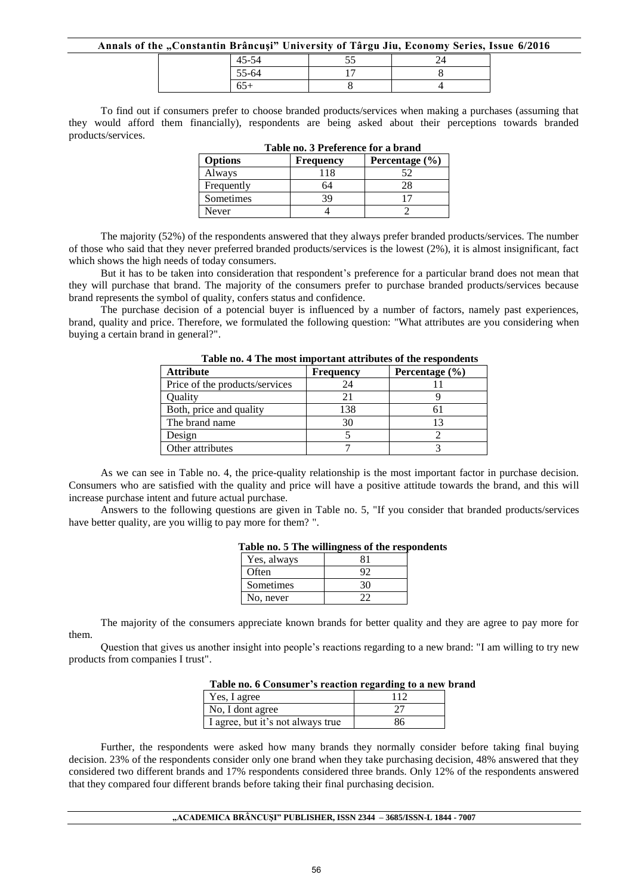#### **Annals of the "Constantin Brâncuşi" University of Târgu Jiu, Economy Series, Issue 6/2016**

| $A \subseteq \subseteq A$<br>40-04 | --<br>ັບ |  |
|------------------------------------|----------|--|
| 55-64                              |          |  |
| JJ+                                |          |  |

To find out if consumers prefer to choose branded products/services when making a purchases (assuming that they would afford them financially), respondents are being asked about their perceptions towards branded products/services.

| Table no. 3 Freierence for a brand |                  |                    |  |
|------------------------------------|------------------|--------------------|--|
| <b>Options</b>                     | <b>Frequency</b> | Percentage $(\% )$ |  |
| Always                             | 118              | 52                 |  |
| Frequently                         | 64               | 28                 |  |
| Sometimes                          | 39               |                    |  |
| Never                              |                  |                    |  |

**Table no. 3 Preference for a brand** 

The majority (52%) of the respondents answered that they always prefer branded products/services. The number of those who said that they never preferred branded products/services is the lowest (2%), it is almost insignificant, fact which shows the high needs of today consumers.

But it has to be taken into consideration that respondent's preference for a particular brand does not mean that they will purchase that brand. The majority of the consumers prefer to purchase branded products/services because brand represents the symbol of quality, confers status and confidence.

The purchase decision of a potencial buyer is influenced by a number of factors, namely past experiences, brand, quality and price. Therefore, we formulated the following question: "What attributes are you considering when buying a certain brand in general?".

| <b>Attribute</b>               | <b>Frequency</b> | Percentage $(\% )$ |
|--------------------------------|------------------|--------------------|
| Price of the products/services | 24               |                    |
| Ouality                        | 21               |                    |
| Both, price and quality        | 138              |                    |
| The brand name                 | 30               |                    |
| Design                         |                  |                    |
| Other attributes               |                  |                    |

**Table no. 4 The most important attributes of the respondents**

As we can see in Table no. 4, the price-quality relationship is the most important factor in purchase decision. Consumers who are satisfied with the quality and price will have a positive attitude towards the brand, and this will increase purchase intent and future actual purchase.

Answers to the following questions are given in Table no. 5, "If you consider that branded products/services have better quality, are you willig to pay more for them? ".

| . wwie nol e aant hammenego of me fedi |    |  |
|----------------------------------------|----|--|
| Yes, always                            |    |  |
| Often                                  |    |  |
| Sometimes                              | 30 |  |
| No, never                              |    |  |

|  |  |  |  |  | Table no. 5 The willingness of the respondents |
|--|--|--|--|--|------------------------------------------------|
|--|--|--|--|--|------------------------------------------------|

The majority of the consumers appreciate known brands for better quality and they are agree to pay more for them.

Question that gives us another insight into people's reactions regarding to a new brand: "I am willing to try new products from companies I trust".

### **Table no. 6 Consumer's reaction regarding to a new brand**

| Yes, I agree                      | 112 |
|-----------------------------------|-----|
| No, I dont agree                  |     |
| I agree, but it's not always true | 86  |

Further, the respondents were asked how many brands they normally consider before taking final buying decision. 23% of the respondents consider only one brand when they take purchasing decision, 48% answered that they considered two different brands and 17% respondents considered three brands. Only 12% of the respondents answered that they compared four different brands before taking their final purchasing decision.

#### **"ACADEMICA BRÂNCUŞI" PUBLISHER, ISSN 2344 – 3685/ISSN-L 1844 - 7007**